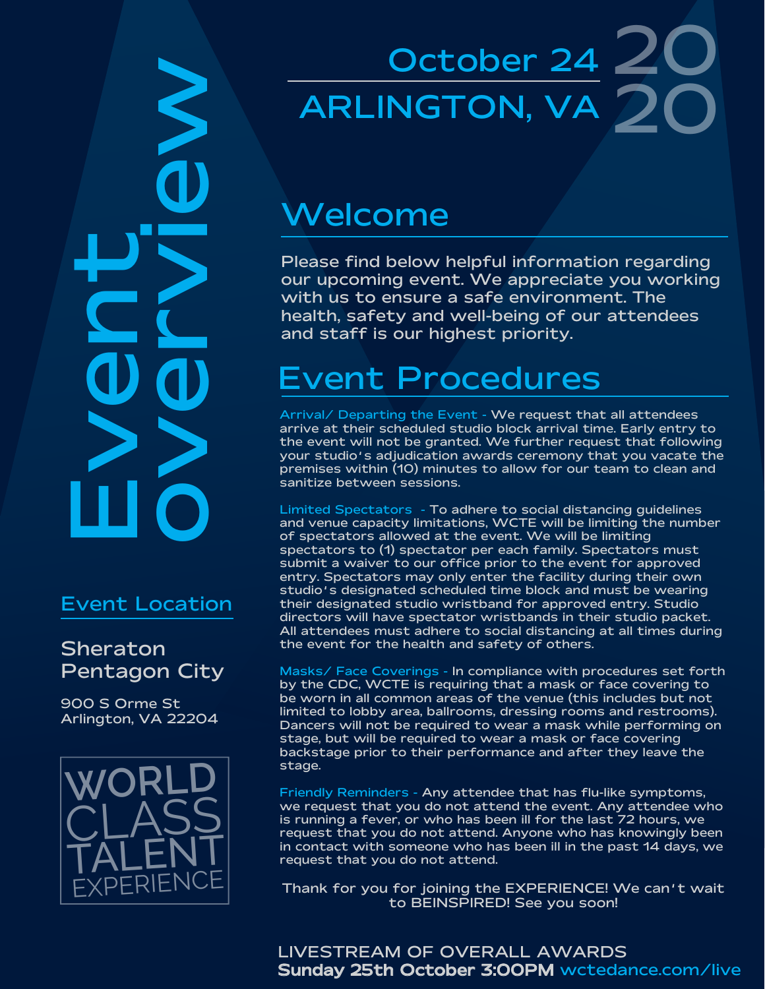WORLD<br>
Sheraton<br>
NOV DOVERIENCE<br>
Pentagon City<br>
Pentagon City<br>
CLASS<br>
CRLENT<br>
CRLENT  $\sum_{n}$ 

#### Event Location

### **Sheraton** Pentagon City

900 S Orme St Arlington, VA 22204



# October 24 20 20 ARLINGTON, VA

### Welcome

Please find below helpful information regarding our upcoming event. We appreciate you working with us to ensure a safe environment. The health, safety and well-being of our attendees and staff is our highest priority.

# Event Procedures

Arrival/ Departing the Event - We request that all attendees arrive at their scheduled studio block arrival time. Early entry to the event will not be granted. We further request that following your studio's adjudication awards ceremony that you vacate the premises within (10) minutes to allow for our team to clean and sanitize between sessions.

Limited Spectators - To adhere to social distancing guidelines and venue capacity limitations, WCTE will be limiting the number of spectators allowed at the event. We will be limiting spectators to (1) spectator per each family. Spectators must submit a waiver to our office prior to the event for approved entry. Spectators may only enter the facility during their own studio's designated scheduled time block and must be wearing their designated studio wristband for approved entry. Studio directors will have spectator wristbands in their studio packet. All attendees must adhere to social distancing at all times during the event for the health and safety of others.

Masks/ Face Coverings - In compliance with procedures set forth by the CDC, WCTE is requiring that a mask or face covering to be worn in all common areas of the venue (this includes but not limited to lobby area, ballrooms, dressing rooms and restrooms). Dancers will not be required to wear a mask while performing on stage, but will be required to wear a mask or face covering backstage prior to their performance and after they leave the stage.

Friendly Reminders - Any attendee that has flu-like symptoms, we request that you do not attend the event. Any attendee who is running a fever, or who has been ill for the last 72 hours, we request that you do not attend. Anyone who has knowingly been in contact with someone who has been ill in the past 14 days, we request that you do not attend.

Thank for you for joining the EXPERIENCE! We can't wait to BEINSPIRED! See you soon!

LIVESTREAM OF OVERALL AWARDS Sunday 25th October 3:00PM wctedance.com/live